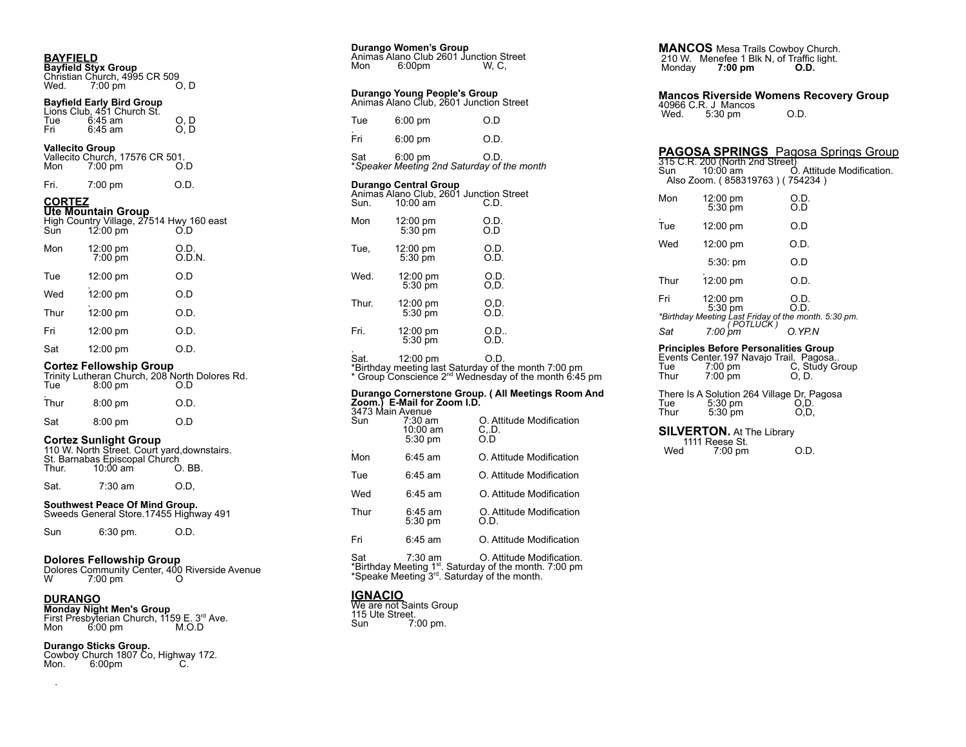**BAYFIELD Bayfield Styx Group** Christian Church, 4995 CR 509<br>Wed. 7:00 pm 0, D  $7:00 \text{ pm}$ 

# **Bayfield Early Bird Group**

|     | Lions Club, 451 Church St. |     |
|-----|----------------------------|-----|
| Tue | $6:45$ am                  | O.D |
| Fri | 6:45 am                    | O.D |

| <b>Vallecito Group</b> |                   |                                 |
|------------------------|-------------------|---------------------------------|
|                        |                   | Vallecito Church, 17576 CR 501. |
| Mon                    | $7:00 \text{ pm}$ | O.D                             |

| Fri. | $7:00 \text{ pm}$ | O.D. |
|------|-------------------|------|
|      |                   |      |

# **CORTEZ**

**Ute Mountain Group**<br>High Country Village, 27514 Hwy 160 east<br>Sun 12:00 pm O.D

| Mon  | 12:00 pm<br>7:00 pm | O.D.<br>0.D.N. |
|------|---------------------|----------------|
| Tue  | 12:00 pm            | O.D            |
| Wed  | 12:00 pm            | O.D            |
| Thur | 12:00 pm            | O.D.           |
| Fri  | 12:00 pm            | O.D.           |
| Sat  | 12:00 pm            | O.D.           |

### **Cortez Fellowship Group**

| Tue  | $8:00$ pm | Trinity Lutheran Church, 208 North Dolores Rd.<br>O D |
|------|-----------|-------------------------------------------------------|
| Thur | $8:00$ pm | O.D.                                                  |
| Sat  | $8:00$ pm | O D                                                   |

### **Cortez Sunlight Group**

|       |                               | 110 W. North Street. Court yard, downstairs. |
|-------|-------------------------------|----------------------------------------------|
|       | St. Barnabas Episcopal Church |                                              |
| Thur. | $10:00$ am                    | O.BB.                                        |
|       |                               |                                              |

# Sat. 7:30 am O.D,

**Southwest Peace Of Mind Group.** Sweeds General Store.17455 Highway 491

Sun 6:30 pm. O.D.

# **Dolores Fellowship Group**

Dolores Community Center, <sup>400</sup> Riverside Avenue <sup>W</sup> 7:00 pm <sup>O</sup>

.

**DURANGO Monday Night Men's Group** First Presbyterian Church, 1159 E. 3 rd Ave. Mon 6:00 pm M.O.D

# **Durango Sticks Group.**

Cowboy Church 1807 Co, Highway 172. Mon. 6:00pm C.

| Mon   | 6:00 <sub>pm</sub>                  | Animas Alano Club 2601 Junction Street<br>W. C.      |
|-------|-------------------------------------|------------------------------------------------------|
|       | Durango Young People's Group        | Animas Alano Club, 2601 Junction Street              |
| Tue   | $6:00$ pm                           | O.D                                                  |
| Fri   | 6:00 pm                             | O.D.                                                 |
| Sat   | 6:00 pm                             | O.D.<br>*Speaker Meeting 2nd Saturday of the month   |
| Sun.  | Durango Central Group<br>$10:00$ am | Animas Alano Club, 2601 Junction Street<br>C.D.      |
| Mon   | 12:00 pm<br>5:30 pm                 | O.D.<br>O.D                                          |
| Tue,  | 12:00 pm<br>$5:30$ pm               | O.D.<br>O.D.                                         |
| Wed.  | 12:00 pm<br>5:30 pm                 | O.D.<br>O.D.                                         |
| Thur. | $12:00 \text{ pm}$<br>$5:30$ pm     | O,D.<br>O.D.                                         |
| Fri.  | 12:00 pm<br>5:30 pm                 | O.D.<br>O.D.                                         |
| Sat.  | 12:00 pm                            | O D.<br>*Birthday meeting last Saturday of the month |

**Durango Women's Group**

\*Birthday meeting last Saturday of the month 7:00 pm<br>\* Group Conscience 2™ Wednesday of the month 6:45 pm

# **Durango Cornerstone Group. ( All Meetings Room And Zoom.) E-Mail for Zoom I.D.** 3473 Main Avenue Sun 7:30 am O. Attitude Modification

| Sun                                                                                                                                                                           | $7:30 \text{ am}$<br>10:00 am<br>$5:30$ pm | O. Attitude Modification<br>C. D.<br>ΩD |
|-------------------------------------------------------------------------------------------------------------------------------------------------------------------------------|--------------------------------------------|-----------------------------------------|
| Mon                                                                                                                                                                           | $6:45$ am                                  | O. Attitude Modification                |
| Tue                                                                                                                                                                           | $6:45$ am                                  | O. Attitude Modification                |
| Wed                                                                                                                                                                           | $6:45$ am                                  | O. Attitude Modification                |
| Thur                                                                                                                                                                          | $6:45$ am<br>$5:30$ pm                     | O. Attitude Modification<br>O.D.        |
| Fri                                                                                                                                                                           | 6:45 am                                    | O. Attitude Modification                |
| Sat<br>O. Attitude Modification.<br>7:30 am<br>*Birthday Meeting 1 <sup>st</sup> . Saturday of the month. 7:00 pm<br>*Speake Meeting 3 <sup>rd</sup> . Saturday of the month. |                                            |                                         |

**IGNACIO** We are not Saints Group 115 Ute Street. Sun 7:00 pm.

**MANCOS** Mesa Trails Cowboy Church. 210 W. Menefee 1 Blk N, of Traffic light.<br>Monday 7:00 pm 0.D. **Monday 7:00 pm** 

# **Mancos Riverside Womens Recovery Group** 40966 C.R. J Mancos<br>Wed. 5:30 pm O.D.

# **PAGOSA SPRINGS** Pagosa Springs Group

|            |                                                                                                               | <b>FAGOSA ƏF NINGƏ</b> T ayusa Əphiliyə Əlüq |
|------------|---------------------------------------------------------------------------------------------------------------|----------------------------------------------|
| Sun        | 315 C.R. 200 (North 2nd Street)<br>$10:00$ am<br>Also Zoom. (858319763) (754234)                              | Ó. Attitude Modification.                    |
| Mon        | $12:00 \text{ pm}$<br>5:30 pm                                                                                 | O.D.<br>O.D                                  |
| Tue        | $12:00 \text{ pm}$                                                                                            | O.D                                          |
| Wed        | $12:00 \text{ pm}$                                                                                            | O.D.                                         |
|            | 5:30:pm                                                                                                       | O.D                                          |
| Thur       | 12:00 pm                                                                                                      | O.D.                                         |
| Fri<br>Sat | $12:00 \text{ pm}$<br>5:30 pm<br>*Birthday Meeting Last Friday of the month. 5:30 pm.<br>POTLUCK )<br>7:00 pm | O.D.<br>O.D.<br>O.YPN                        |
|            |                                                                                                               |                                              |

# **Principles Before Personalities Group**

|      |                   | Events Center 197 Navajo Trail. Pagosa |
|------|-------------------|----------------------------------------|
| Tue  | $7:00 \text{ pm}$ | C, Study Group                         |
| Thur | $7:00$ pm         | O, D.                                  |
|      |                   |                                        |

There Is A Solution 264 Village Dr, Pagosa<br>Tue 5:30 pm 0.D. Tue 5:30 pm O,D. Thur 5:30 pm O,D,

### **SILVERTON.** At The Library  $1111$  Reese St.

| Wed | $7:00 \text{ pm}$ | O.D. |
|-----|-------------------|------|
|-----|-------------------|------|